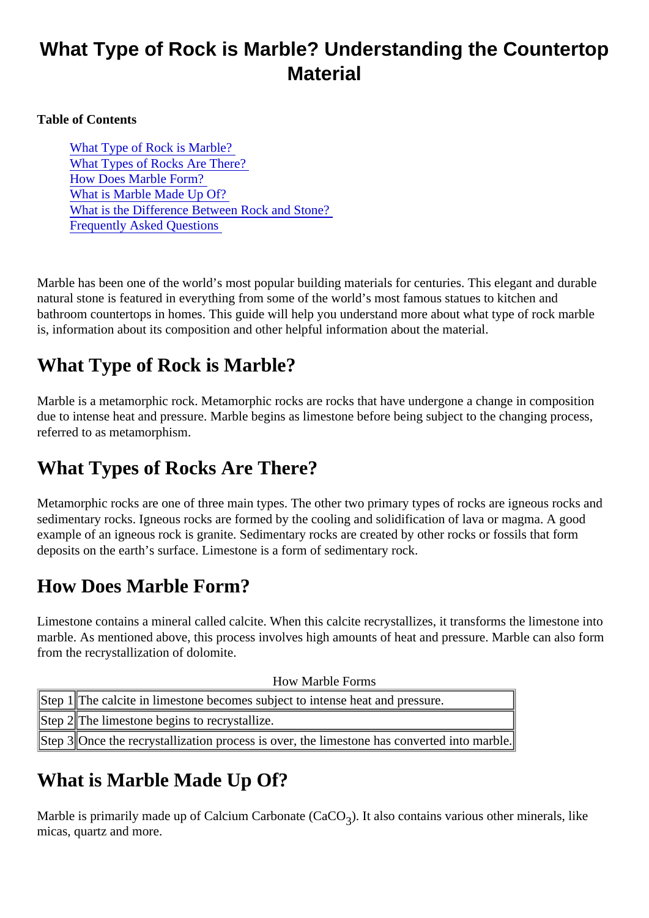# What Type of Rock is Marble? Understanding the Countertop **Material**

Table of Contents

What Type of Rock is Marble? What Types of Rocks Are There? How Does Marble Form? What is Marble Made Up Of? [What is the Difference Between Rock and Sto](#page-1-0)ne? [Frequently Asked Question](#page-1-0)s

Marble has been one of the world's most popular building materials for centuries. This elegant and durable natural stone is featured in everything from some of the world's most famous statues to kitchen and bathroom countertops in homes. This guide will help you understand more about what type of rock marble is, information about its composition and other helpful information about the material.

# What Type of Rock is Marble?

Marble is a metamorphic rock. Metamorphic rocks are rocks that have undergone a change in composition due to intense heat and pressure. Marble begins as limestone before being subject to the changing proces referred to as metamorphism.

# What Types of Rocks Are There?

Metamorphic rocks are one of three main types. The other two primary types of rocks are igneous rocks and  $\alpha$ sedimentary rocks. Igneous rocks are formed by the cooling and solidification of lava or magma. A good example of an igneous rock is granite. Sedimentary rocks are created by other rocks or fossils that form deposits on the earth's surface. Limestone is a form of sedimentary rock.

# How Does Marble Form?

Limestone contains a mineral called calcite. When this calcite recrystallizes, it transforms the limestone int marble. As mentioned above, this process involves high amounts of heat and pressure. Marble can also for from the recrystallization of dolomite.

| <b>How Marble Forms</b>                                                                     |  |
|---------------------------------------------------------------------------------------------|--|
| Step 1 The calcite in limestone becomes subject to intense heat and pressure.               |  |
| Step <b>#The limestone begins to recrystallize.</b>                                         |  |
| Step \$Once the recrystallization process is over, the limestone has converted into marble. |  |

# What is Marble Made Up Of?

Marble is primarily made up of Calcium Carbonate (CaCO also contains various other minerals, like micas, quartz and more.